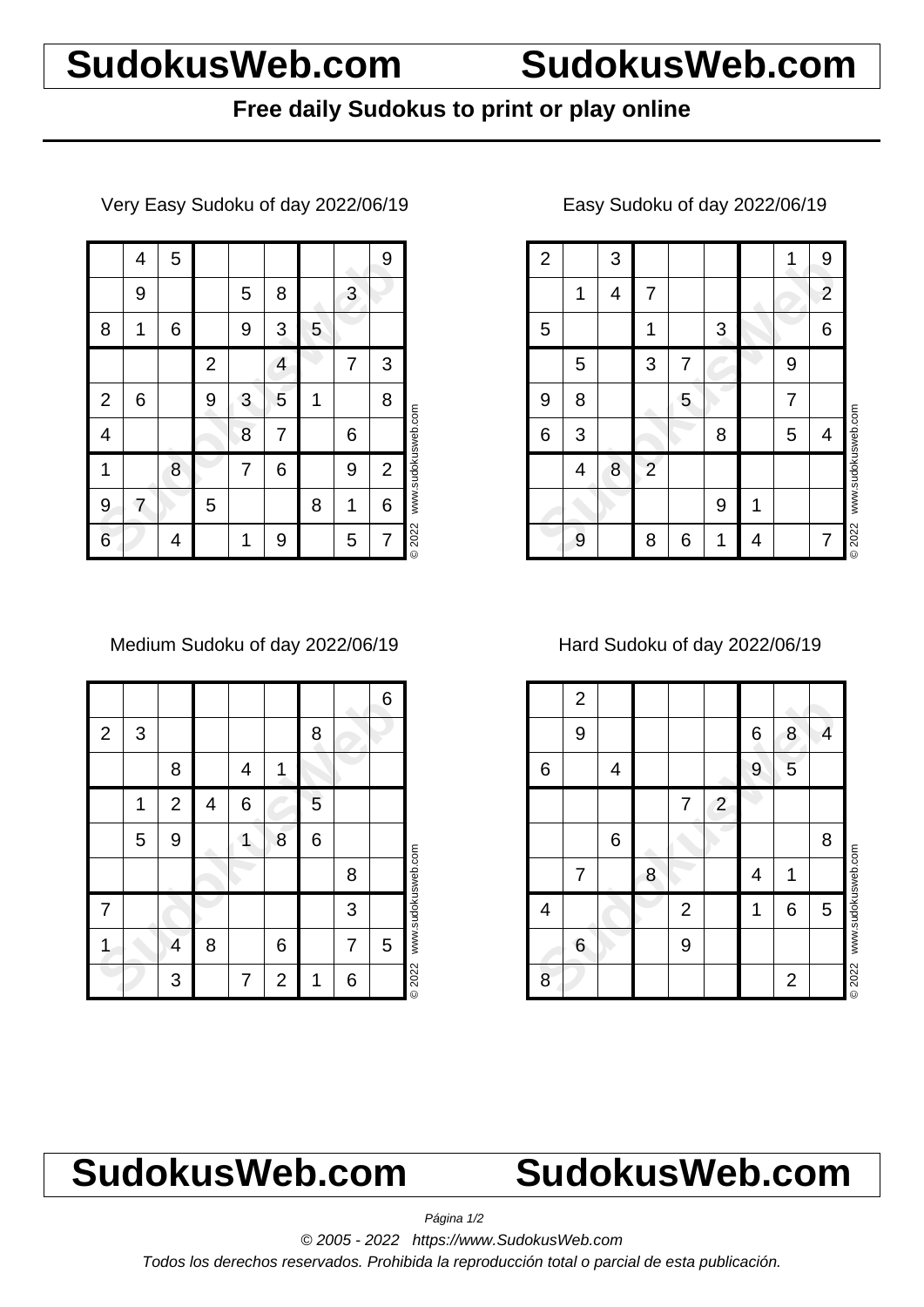# **SudokusWeb.com SudokusWeb.com**

## **Free daily Sudokus to print or play online**

Very Easy Sudoku of day 2022/06/19

|                | 4 | 5 |                |   |   |   |   | 9              |                    |
|----------------|---|---|----------------|---|---|---|---|----------------|--------------------|
|                | 9 |   |                | 5 | 8 |   | 3 |                |                    |
| 8              | 1 | 6 |                | 9 | 3 | 5 |   |                |                    |
|                |   |   | $\overline{2}$ |   | 4 |   | 7 | 3              |                    |
| $\overline{2}$ | 6 |   | 9              | 3 | 5 | 1 |   | 8              |                    |
| 4              |   |   |                | 8 | 7 |   | 6 |                | www.sudokusweb.com |
| 1              |   | 8 |                | 7 | 6 |   | 9 | $\overline{2}$ |                    |
| 9              | 7 |   | 5              |   |   | 8 | 1 | 6              |                    |
| 6              |   | 4 |                | 1 | 9 |   | 5 | 7              | © 2022             |

Medium Sudoku of day 2022/06/19

|             |   |                |   |   |                |   |   | 6 |                    |
|-------------|---|----------------|---|---|----------------|---|---|---|--------------------|
| $\mathbf 2$ | 3 |                |   |   |                | 8 |   |   |                    |
|             |   | 8              |   | 4 | 1              |   |   |   |                    |
|             | 1 | $\overline{2}$ | 4 | 6 |                | 5 |   |   |                    |
|             | 5 | 9              |   |   | 8              | 6 |   |   |                    |
|             |   |                |   |   |                |   | 8 |   |                    |
| 7           |   |                |   |   |                |   | 3 |   | www.sudokusweb.com |
|             |   | 4              | 8 |   | 6              |   | 7 | 5 |                    |
|             |   | 3              |   | 7 | $\overline{2}$ | 1 | 6 |   | <b>©2022</b>       |

### 1 3 1 4 7 2<br>
5 1 3 6<br>
5 3 7 9<br>
9 8 5 7<br>
6 3 8 5 4<br>
4 8 2<br>
9 8 6 1 4 7 2 3 1 1 3 1 4 7 1 2 5 | 1 | 1 | 3 | 6 5 3 7 2 9 9 8 1 5 7 6 3 6 8 5 4 4 8 2 9 1 9 | 8 | 6 | 1 | 4 | | 7 © 2022 www.sudokusweb.com

### Easy Sudoku of day 2022/06/19

Hard Sudoku of day 2022/06/19

|   | $\overline{c}$ |   |   |                |                |   |                |   |                    |
|---|----------------|---|---|----------------|----------------|---|----------------|---|--------------------|
|   | 9              |   |   |                |                | 6 | 8              | 4 |                    |
| 6 |                | 4 |   |                |                | 9 | 5              |   |                    |
|   |                |   |   | 7              | $\overline{2}$ |   |                |   |                    |
|   |                | 6 |   |                |                |   |                | 8 |                    |
|   | 7              |   | 8 |                |                | 4 | 1              |   | www.sudokusweb.com |
| 4 |                |   |   | $\overline{2}$ |                | 1 | 6              | 5 |                    |
|   | 6              |   |   | 9              |                |   |                |   |                    |
| 8 |                |   |   |                |                |   | $\overline{2}$ |   | <b>©2022</b>       |

# **SudokusWeb.com SudokusWeb.com**

Página 1/2

© 2005 - 2022 https://www.SudokusWeb.com

Todos los derechos reservados. Prohibida la reproducción total o parcial de esta publicación.